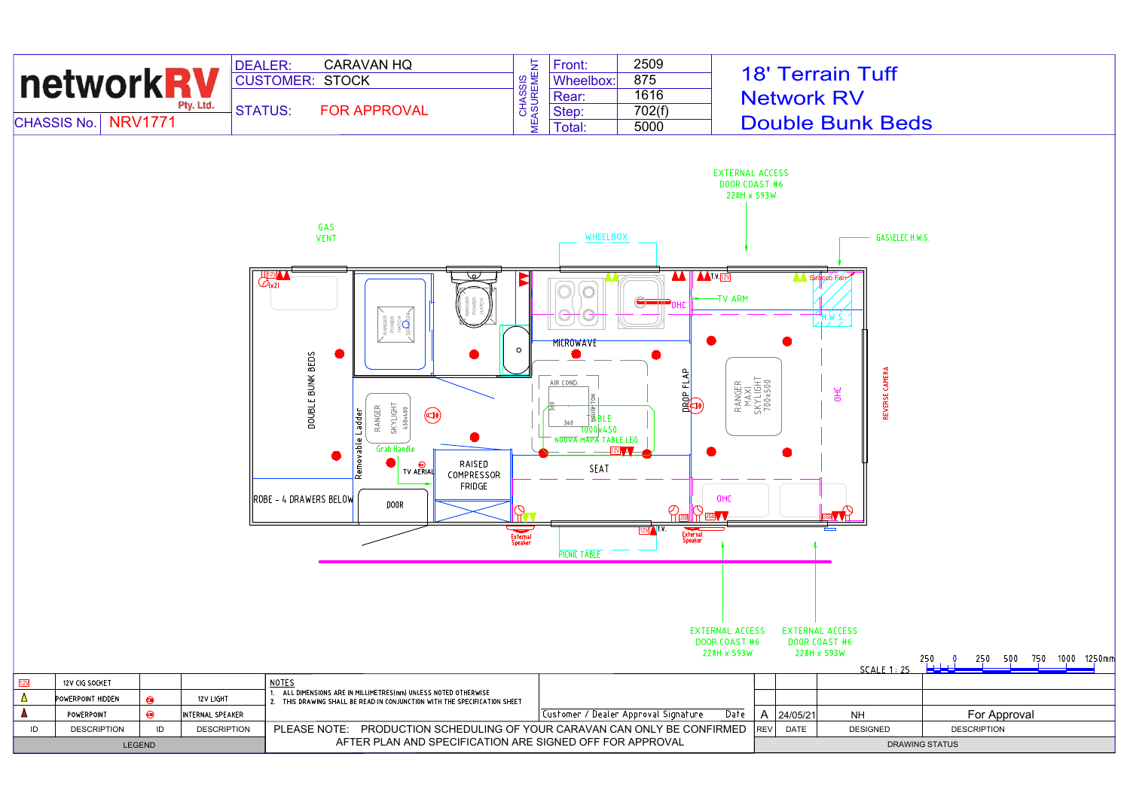| <b>CHASSIS No.</b> | <b>networkRV</b>                    | <b>NRV1771</b> | Pty. Ltd.          | <b>CARAVAN HQ</b><br><b>DEALER:</b><br><b>CUSTOMER: STOCK</b><br><b>STATUS:</b><br><b>FOR APPROVAL</b>                                                                                                                                                       | <b>CHASSIS</b><br>MEASUREMENT                  | Front:<br>Wheelbox:<br>Rear:<br>Step:<br>Total:                                                             | 2509<br>875<br>1616<br>702(f)<br>5000                                                               | <b>EXTERNAL ACCESS</b><br>DOOR COAST #6<br>228H x 593W |                                       |                | <b>18' Terrain Tuff</b><br><b>Network RV</b><br><b>Double Bunk Beds</b>                                                                                                                                                                                                                                                                                                                                                                                                                              |  |                         |  |
|--------------------|-------------------------------------|----------------|--------------------|--------------------------------------------------------------------------------------------------------------------------------------------------------------------------------------------------------------------------------------------------------------|------------------------------------------------|-------------------------------------------------------------------------------------------------------------|-----------------------------------------------------------------------------------------------------|--------------------------------------------------------|---------------------------------------|----------------|------------------------------------------------------------------------------------------------------------------------------------------------------------------------------------------------------------------------------------------------------------------------------------------------------------------------------------------------------------------------------------------------------------------------------------------------------------------------------------------------------|--|-------------------------|--|
|                    |                                     |                |                    | GAS<br><b>VENT</b>                                                                                                                                                                                                                                           |                                                | WHEELBOX                                                                                                    |                                                                                                     |                                                        | <b>GASYELEC H.W.S.</b>                |                |                                                                                                                                                                                                                                                                                                                                                                                                                                                                                                      |  |                         |  |
|                    |                                     |                |                    | ∕ے∖<br>$Q_{(x2)}$<br>RANGER<br>POWER<br>HATCH<br>324324<br>DOUBLE BUNK BEDS<br>RANGER<br>SKYLIGHT<br>450x400<br>Removable Ladder<br>$\bigcirc$<br><b>Grab Handle</b><br>RAISED<br><b>TV AERIAL</b><br>COMPRESSOR<br>FRIDGE<br>ROBE - 4 DRAWERS BELOW<br>DOOR | Б<br>$\circ$<br>ΠT<br>=<br>External<br>Speaker | <b>MICROWAVE</b><br>AIR COND.<br>†⊉BLE<br>360<br>1000 x 450<br>NUOVA MAPA TABLE LEG<br>SEAT<br>PICNIC TABLE | <b>AA</b> AATVEEV<br>$rac{1}{4}$<br>군<br>$\frac{1}{2}$<br>$12V$ $\sqrt{1.7}$<br>External<br>Speaker | -TV ARM<br>OHC                                         | RANGER<br>MAXI<br>SKYLIGHT<br>700x500 |                | A Sirecco Fan<br>$\frac{1}{\sqrt{1-\frac{1}{\sqrt{1-\frac{1}{\sqrt{1-\frac{1}{\sqrt{1-\frac{1}{\sqrt{1-\frac{1}{\sqrt{1-\frac{1}{\sqrt{1-\frac{1}{\sqrt{1-\frac{1}{\sqrt{1-\frac{1}{\sqrt{1-\frac{1}{\sqrt{1-\frac{1}{\sqrt{1-\frac{1}{\sqrt{1-\frac{1}{\sqrt{1-\frac{1}{\sqrt{1-\frac{1}{\sqrt{1-\frac{1}{\sqrt{1-\frac{1}{\sqrt{1-\frac{1}{\sqrt{1-\frac{1}{\sqrt{1-\frac{1}{\sqrt{1-\frac{1}{\sqrt{1-\frac{1}{\sqrt{1-\frac{1}{\sqrt{1+\frac{1$<br>CAMER<br><b>OHC</b><br>REVERSE<br><b>BV 7日</b> |  |                         |  |
|                    |                                     |                |                    |                                                                                                                                                                                                                                                              |                                                |                                                                                                             |                                                                                                     | <b>EXTERNAL ACCESS</b><br>DOOR COAST #6<br>228H x 593W |                                       | 228H x 593W    | <b>EXTERNAL ACCESS</b><br>DOOR COAST #6<br>SCALE 1 : 25                                                                                                                                                                                                                                                                                                                                                                                                                                              |  | 250 500 750 1000 1250mm |  |
| 12 <sub>V</sub>    | 12V CIG SOCKET<br>POWERPOINT HIDDEN | $\bigcirc$     | 12V LIGHT          | <b>NOTES</b><br>ALL DIMENSIONS ARE IN MILLIMETRES(mm) UNLESS NOTED OTHERWISE<br>2. THIS DRAWING SHALL BE READ IN CONJUNCTION WITH THE SPECIFICATION SHEET                                                                                                    |                                                |                                                                                                             |                                                                                                     |                                                        |                                       |                |                                                                                                                                                                                                                                                                                                                                                                                                                                                                                                      |  |                         |  |
|                    | POWERPOINT                          | $\bigcirc$     | INTERNAL SPEAKER   |                                                                                                                                                                                                                                                              |                                                |                                                                                                             | Customer / Dealer Approval Signature                                                                | Date                                                   |                                       | A   $24/05/21$ | <b>NH</b>                                                                                                                                                                                                                                                                                                                                                                                                                                                                                            |  | For Approval            |  |
| ID                 | <b>DESCRIPTION</b>                  | ID             | <b>DESCRIPTION</b> | PLEASE NOTE: PRODUCTION SCHEDULING OF YOUR CARAVAN CAN ONLY BE CONFIRMED                                                                                                                                                                                     |                                                |                                                                                                             |                                                                                                     |                                                        | REV DATE                              |                | <b>DESIGNED</b>                                                                                                                                                                                                                                                                                                                                                                                                                                                                                      |  | <b>DESCRIPTION</b>      |  |
| LEGEND             |                                     |                |                    | AFTER PLAN AND SPECIFICATION ARE SIGNED OFF FOR APPROVAL                                                                                                                                                                                                     |                                                |                                                                                                             |                                                                                                     |                                                        | DRAWING STATUS                        |                |                                                                                                                                                                                                                                                                                                                                                                                                                                                                                                      |  |                         |  |